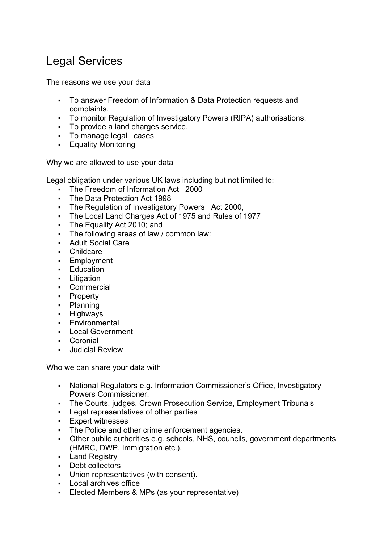## Legal Services

The reasons we use your data

- To answer Freedom of Information & Data Protection requests and complaints.
- To monitor Regulation of Investigatory Powers (RIPA) authorisations.
- To provide a land charges service.
- To manage legal cases
- **Equality Monitoring**

Why we are allowed to use your data

Legal obligation under various UK laws including but not limited to:

- The Freedom of Information Act 2000
- The Data Protection Act 1998
- **The Regulation of Investigatory Powers** Act 2000,
- The Local Land Charges Act of 1975 and Rules of 1977
- **The Equality Act 2010; and**
- The following areas of law / common law:
- **Adult Social Care**
- Childcare
- **Employment**
- **Education**
- **Litigation**
- **Commercial**
- Property
- Planning
- **-** Highways
- **Environmental**
- **Local Government**
- Coronial
- **Judicial Review**

Who we can share your data with

- National Regulators e.g. Information Commissioner's Office, Investigatory Powers Commissioner.
- The Courts, judges, Crown Prosecution Service, Employment Tribunals
- Legal representatives of other parties
- **Expert witnesses**
- The Police and other crime enforcement agencies.
- Other public authorities e.g. schools, NHS, councils, government departments (HMRC, DWP, Immigration etc.).
- **Land Registry**
- **Debt collectors**
- Union representatives (with consent).
- Local archives office
- Elected Members & MPs (as your representative)